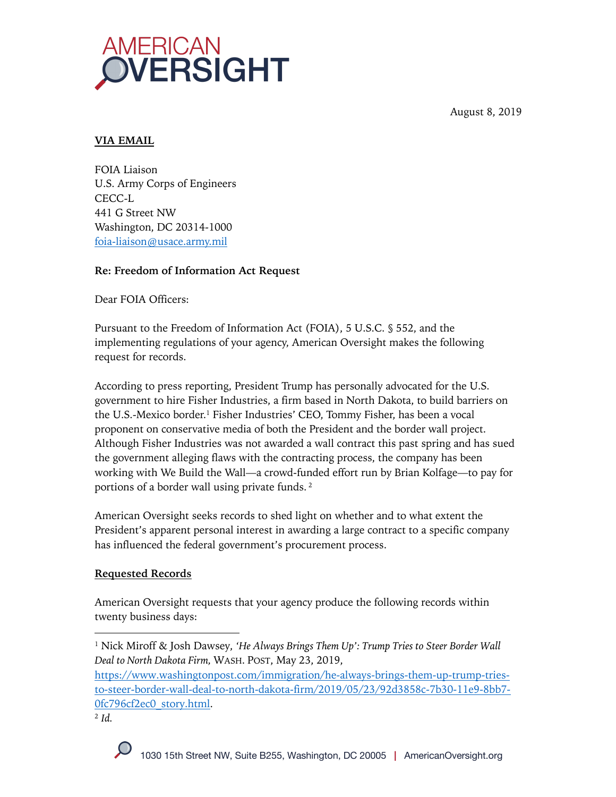August 8, 2019



## **VIA EMAIL**

FOIA Liaison U.S. Army Corps of Engineers CECC-L 441 G Street NW Washington, DC 20314-1000 foia-liaison@usace.army.mil

## **Re: Freedom of Information Act Request**

Dear FOIA Officers:

Pursuant to the Freedom of Information Act (FOIA), 5 U.S.C. § 552, and the implementing regulations of your agency, American Oversight makes the following request for records.

According to press reporting, President Trump has personally advocated for the U.S. government to hire Fisher Industries, a firm based in North Dakota, to build barriers on the U.S.-Mexico border.1 Fisher Industries' CEO, Tommy Fisher, has been a vocal proponent on conservative media of both the President and the border wall project. Although Fisher Industries was not awarded a wall contract this past spring and has sued the government alleging flaws with the contracting process, the company has been working with We Build the Wall—a crowd-funded effort run by Brian Kolfage—to pay for portions of a border wall using private funds. <sup>2</sup>

American Oversight seeks records to shed light on whether and to what extent the President's apparent personal interest in awarding a large contract to a specific company has influenced the federal government's procurement process.

## **Requested Records**

American Oversight requests that your agency produce the following records within twenty business days:

<sup>1</sup> Nick Miroff & Josh Dawsey, *'He Always Brings Them Up': Trump Tries to Steer Border Wall Deal to North Dakota Firm,* WASH. POST, May 23, 2019,

https://www.washingtonpost.com/immigration/he-always-brings-them-up-trump-triesto-steer-border-wall-deal-to-north-dakota-firm/2019/05/23/92d3858c-7b30-11e9-8bb7- 0fc796cf2ec0\_story.html.

<sup>2</sup> *Id.*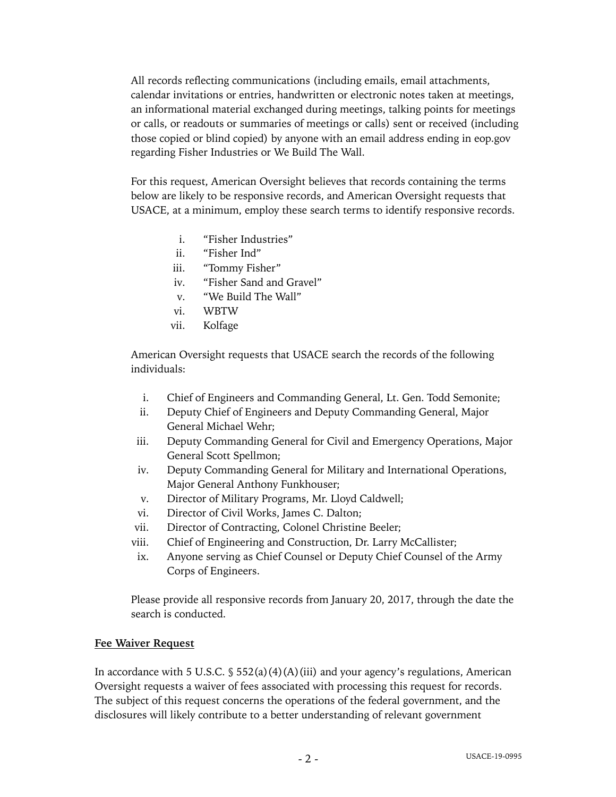All records reflecting communications (including emails, email attachments, calendar invitations or entries, handwritten or electronic notes taken at meetings, an informational material exchanged during meetings, talking points for meetings or calls, or readouts or summaries of meetings or calls) sent or received (including those copied or blind copied) by anyone with an email address ending in eop.gov regarding Fisher Industries or We Build The Wall.

For this request, American Oversight believes that records containing the terms below are likely to be responsive records, and American Oversight requests that USACE, at a minimum, employ these search terms to identify responsive records.

- i. "Fisher Industries"
- ii. "Fisher Ind"
- iii. "Tommy Fisher"
- iv. "Fisher Sand and Gravel"
- v. "We Build The Wall"
- vi. WBTW
- vii. Kolfage

American Oversight requests that USACE search the records of the following individuals:

- i. Chief of Engineers and Commanding General, Lt. Gen. Todd Semonite;
- ii. Deputy Chief of Engineers and Deputy Commanding General, Major General Michael Wehr;
- iii. Deputy Commanding General for Civil and Emergency Operations, Major General Scott Spellmon;
- iv. Deputy Commanding General for Military and International Operations, Major General Anthony Funkhouser;
- v. Director of Military Programs, Mr. Lloyd Caldwell;
- vi. Director of Civil Works, James C. Dalton;
- vii. Director of Contracting, Colonel Christine Beeler;
- viii. Chief of Engineering and Construction, Dr. Larry McCallister;
- ix. Anyone serving as Chief Counsel or Deputy Chief Counsel of the Army Corps of Engineers.

Please provide all responsive records from January 20, 2017, through the date the search is conducted.

#### **Fee Waiver Request**

In accordance with 5 U.S.C.  $\frac{1}{5}$  552(a)(4)(A)(iii) and your agency's regulations, American Oversight requests a waiver of fees associated with processing this request for records. The subject of this request concerns the operations of the federal government, and the disclosures will likely contribute to a better understanding of relevant government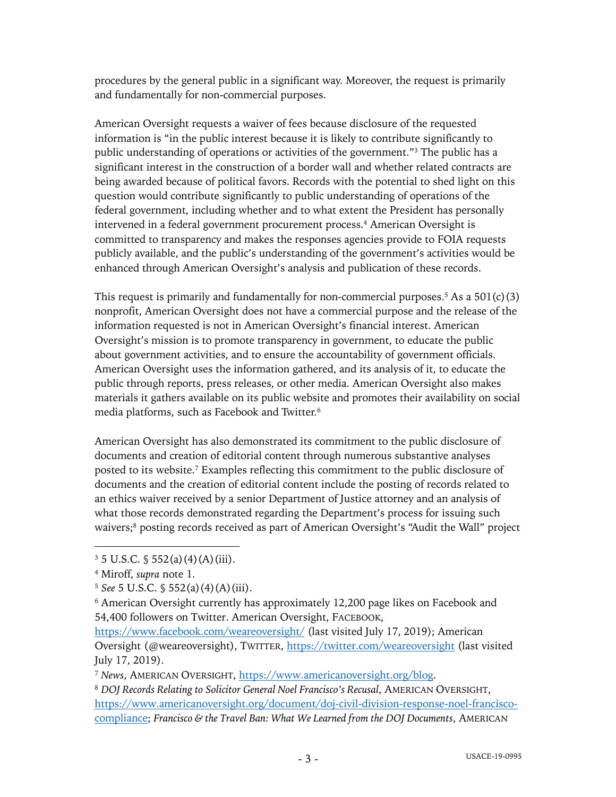procedures by the general public in a significant way. Moreover, the request is primarily and fundamentally for non-commercial purposes.

American Oversight requests a waiver of fees because disclosure of the requested information is "in the public interest because it is likely to contribute significantly to public understanding of operations or activities of the government."3 The public has a significant interest in the construction of a border wall and whether related contracts are being awarded because of political favors. Records with the potential to shed light on this question would contribute significantly to public understanding of operations of the federal government, including whether and to what extent the President has personally intervened in a federal government procurement process. <sup>4</sup> American Oversight is committed to transparency and makes the responses agencies provide to FOIA requests publicly available, and the public's understanding of the government's activities would be enhanced through American Oversight's analysis and publication of these records.

This request is primarily and fundamentally for non-commercial purposes.<sup>5</sup> As a  $501(c)(3)$ nonprofit, American Oversight does not have a commercial purpose and the release of the information requested is not in American Oversight's financial interest. American Oversight's mission is to promote transparency in government, to educate the public about government activities, and to ensure the accountability of government officials. American Oversight uses the information gathered, and its analysis of it, to educate the public through reports, press releases, or other media. American Oversight also makes materials it gathers available on its public website and promotes their availability on social media platforms, such as Facebook and Twitter.6

American Oversight has also demonstrated its commitment to the public disclosure of documents and creation of editorial content through numerous substantive analyses posted to its website. <sup>7</sup> Examples reflecting this commitment to the public disclosure of documents and the creation of editorial content include the posting of records related to an ethics waiver received by a senior Department of Justice attorney and an analysis of what those records demonstrated regarding the Department's process for issuing such waivers;<sup>8</sup> posting records received as part of American Oversight's "Audit the Wall" project

 $3\,5$  U.S.C.  $\frac{6}{5}$  552(a)(4)(A)(iii).

<sup>4</sup> Miroff, *supra* note 1.

<sup>5</sup> *See* 5 U.S.C. § 552(a)(4)(A)(iii).

<sup>6</sup> American Oversight currently has approximately 12,200 page likes on Facebook and 54,400 followers on Twitter. American Oversight, FACEBOOK,

https://www.facebook.com/weareoversight/ (last visited July 17, 2019); American Oversight (@weareoversight), TWITTER, https://twitter.com/weareoversight (last visited July 17, 2019).

<sup>7</sup> *News*, AMERICAN OVERSIGHT, https://www.americanoversight.org/blog.

<sup>8</sup> *DOJ Records Relating to Solicitor General Noel Francisco's Recusal*, AMERICAN OVERSIGHT, https://www.americanoversight.org/document/doj-civil-division-response-noel-franciscocompliance; *Francisco & the Travel Ban: What We Learned from the DOJ Documents*, AMERICAN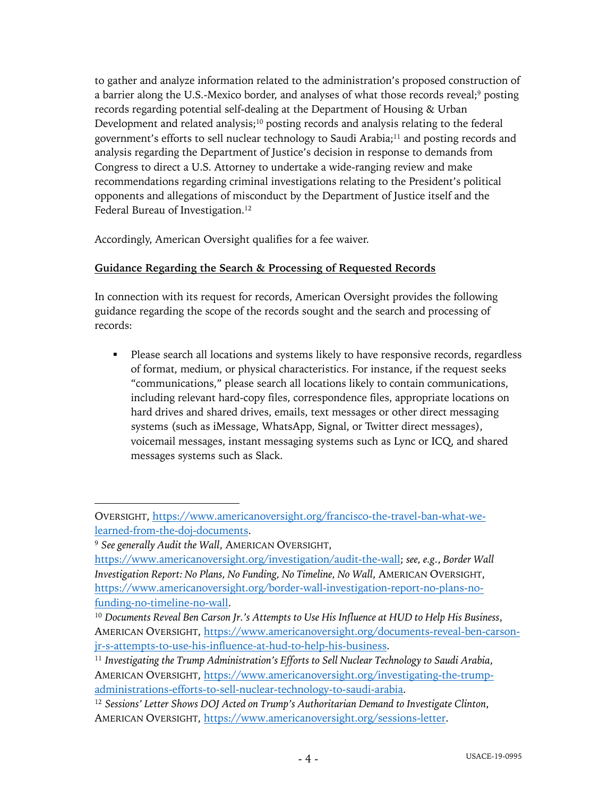to gather and analyze information related to the administration's proposed construction of a barrier along the U.S.-Mexico border, and analyses of what those records reveal;<sup>9</sup> posting records regarding potential self-dealing at the Department of Housing & Urban Development and related analysis;<sup>10</sup> posting records and analysis relating to the federal government's efforts to sell nuclear technology to Saudi Arabia;11 and posting records and analysis regarding the Department of Justice's decision in response to demands from Congress to direct a U.S. Attorney to undertake a wide-ranging review and make recommendations regarding criminal investigations relating to the President's political opponents and allegations of misconduct by the Department of Justice itself and the Federal Bureau of Investigation.<sup>12</sup>

Accordingly, American Oversight qualifies for a fee waiver.

# **Guidance Regarding the Search & Processing of Requested Records**

In connection with its request for records, American Oversight provides the following guidance regarding the scope of the records sought and the search and processing of records:

• Please search all locations and systems likely to have responsive records, regardless of format, medium, or physical characteristics. For instance, if the request seeks "communications," please search all locations likely to contain communications, including relevant hard-copy files, correspondence files, appropriate locations on hard drives and shared drives, emails, text messages or other direct messaging systems (such as iMessage, WhatsApp, Signal, or Twitter direct messages), voicemail messages, instant messaging systems such as Lync or ICQ, and shared messages systems such as Slack.

OVERSIGHT, https://www.americanoversight.org/francisco-the-travel-ban-what-welearned-from-the-doj-documents.

<sup>9</sup> *See generally Audit the Wall*, AMERICAN OVERSIGHT,

https://www.americanoversight.org/investigation/audit-the-wall; *see, e.g.*, *Border Wall Investigation Report: No Plans, No Funding, No Timeline, No Wall*, AMERICAN OVERSIGHT, https://www.americanoversight.org/border-wall-investigation-report-no-plans-nofunding-no-timeline-no-wall.

<sup>10</sup> *Documents Reveal Ben Carson Jr.'s Attempts to Use His Influence at HUD to Help His Business*, AMERICAN OVERSIGHT, https://www.americanoversight.org/documents-reveal-ben-carsonjr-s-attempts-to-use-his-influence-at-hud-to-help-his-business.

<sup>11</sup> *Investigating the Trump Administration's Efforts to Sell Nuclear Technology to Saudi Arabia*, AMERICAN OVERSIGHT, https://www.americanoversight.org/investigating-the-trumpadministrations-efforts-to-sell-nuclear-technology-to-saudi-arabia.

<sup>12</sup> *Sessions' Letter Shows DOJ Acted on Trump's Authoritarian Demand to Investigate Clinton*, AMERICAN OVERSIGHT, https://www.americanoversight.org/sessions-letter.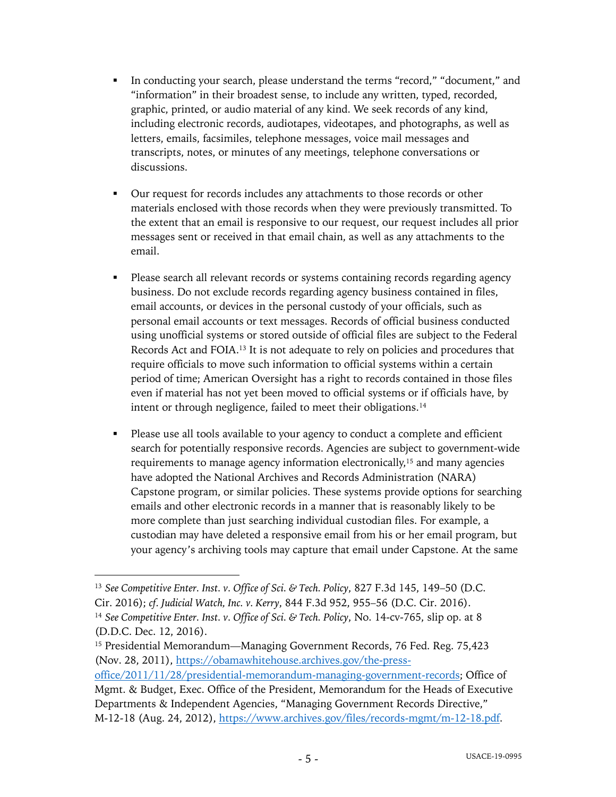- In conducting your search, please understand the terms "record," "document," and "information" in their broadest sense, to include any written, typed, recorded, graphic, printed, or audio material of any kind. We seek records of any kind, including electronic records, audiotapes, videotapes, and photographs, as well as letters, emails, facsimiles, telephone messages, voice mail messages and transcripts, notes, or minutes of any meetings, telephone conversations or discussions.
- Our request for records includes any attachments to those records or other materials enclosed with those records when they were previously transmitted. To the extent that an email is responsive to our request, our request includes all prior messages sent or received in that email chain, as well as any attachments to the email.
- Please search all relevant records or systems containing records regarding agency business. Do not exclude records regarding agency business contained in files, email accounts, or devices in the personal custody of your officials, such as personal email accounts or text messages. Records of official business conducted using unofficial systems or stored outside of official files are subject to the Federal Records Act and FOIA.13 It is not adequate to rely on policies and procedures that require officials to move such information to official systems within a certain period of time; American Oversight has a right to records contained in those files even if material has not yet been moved to official systems or if officials have, by intent or through negligence, failed to meet their obligations.<sup>14</sup>
- Please use all tools available to your agency to conduct a complete and efficient search for potentially responsive records. Agencies are subject to government-wide requirements to manage agency information electronically,<sup>15</sup> and many agencies have adopted the National Archives and Records Administration (NARA) Capstone program, or similar policies. These systems provide options for searching emails and other electronic records in a manner that is reasonably likely to be more complete than just searching individual custodian files. For example, a custodian may have deleted a responsive email from his or her email program, but your agency's archiving tools may capture that email under Capstone. At the same

<sup>13</sup> *See Competitive Enter. Inst. v. Office of Sci. & Tech. Policy*, 827 F.3d 145, 149–50 (D.C. Cir. 2016); *cf. Judicial Watch, Inc. v. Kerry*, 844 F.3d 952, 955–56 (D.C. Cir. 2016). <sup>14</sup> *See Competitive Enter. Inst. v. Office of Sci. & Tech. Policy*, No. 14-cv-765, slip op. at 8 (D.D.C. Dec. 12, 2016).

<sup>&</sup>lt;sup>15</sup> Presidential Memorandum—Managing Government Records, 76 Fed. Reg. 75,423 (Nov. 28, 2011), https://obamawhitehouse.archives.gov/the-press-

office/2011/11/28/presidential-memorandum-managing-government-records; Office of Mgmt. & Budget, Exec. Office of the President, Memorandum for the Heads of Executive Departments & Independent Agencies, "Managing Government Records Directive," M-12-18 (Aug. 24, 2012), https://www.archives.gov/files/records-mgmt/m-12-18.pdf.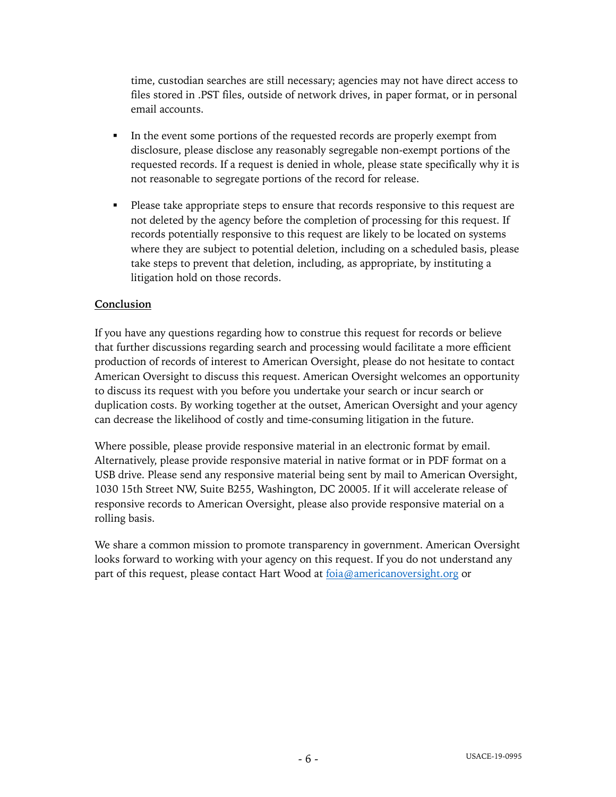time, custodian searches are still necessary; agencies may not have direct access to files stored in .PST files, outside of network drives, in paper format, or in personal email accounts.

- In the event some portions of the requested records are properly exempt from disclosure, please disclose any reasonably segregable non-exempt portions of the requested records. If a request is denied in whole, please state specifically why it is not reasonable to segregate portions of the record for release.
- Please take appropriate steps to ensure that records responsive to this request are not deleted by the agency before the completion of processing for this request. If records potentially responsive to this request are likely to be located on systems where they are subject to potential deletion, including on a scheduled basis, please take steps to prevent that deletion, including, as appropriate, by instituting a litigation hold on those records.

### **Conclusion**

If you have any questions regarding how to construe this request for records or believe that further discussions regarding search and processing would facilitate a more efficient production of records of interest to American Oversight, please do not hesitate to contact American Oversight to discuss this request. American Oversight welcomes an opportunity to discuss its request with you before you undertake your search or incur search or duplication costs. By working together at the outset, American Oversight and your agency can decrease the likelihood of costly and time-consuming litigation in the future.

Where possible, please provide responsive material in an electronic format by email. Alternatively, please provide responsive material in native format or in PDF format on a USB drive. Please send any responsive material being sent by mail to American Oversight, 1030 15th Street NW, Suite B255, Washington, DC 20005. If it will accelerate release of responsive records to American Oversight, please also provide responsive material on a rolling basis.

We share a common mission to promote transparency in government. American Oversight looks forward to working with your agency on this request. If you do not understand any part of this request, please contact Hart Wood at foia@americanoversight.org or